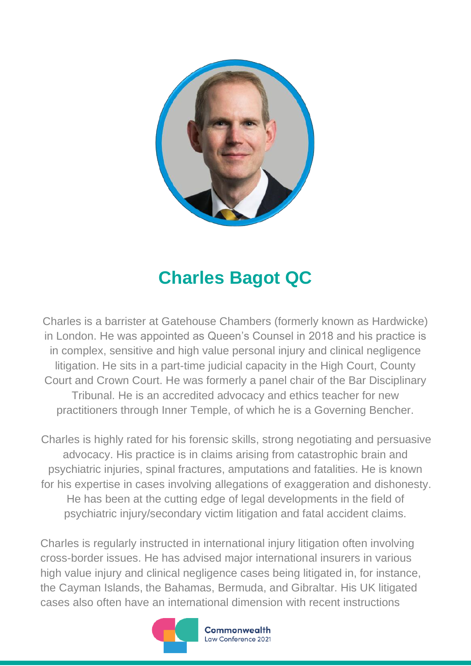

## **Charles Bagot QC**

Charles is a barrister at Gatehouse Chambers (formerly known as Hardwicke) in London. He was appointed as Queen's Counsel in 2018 and his practice is in complex, sensitive and high value personal injury and clinical negligence litigation. He sits in a part-time judicial capacity in the High Court, County Court and Crown Court. He was formerly a panel chair of the Bar Disciplinary Tribunal. He is an accredited advocacy and ethics teacher for new practitioners through Inner Temple, of which he is a Governing Bencher.

Charles is highly rated for his forensic skills, strong negotiating and persuasive advocacy. His practice is in claims arising from catastrophic brain and psychiatric injuries, spinal fractures, amputations and fatalities. He is known for his expertise in cases involving allegations of exaggeration and dishonesty. He has been at the cutting edge of legal developments in the field of psychiatric injury/secondary victim litigation and fatal accident claims.

Charles is regularly instructed in international injury litigation often involving cross-border issues. He has advised major international insurers in various high value injury and clinical negligence cases being litigated in, for instance, the Cayman Islands, the Bahamas, Bermuda, and Gibraltar. His UK litigated cases also often have an international dimension with recent instructions



Commonwealth Law Conference 2021